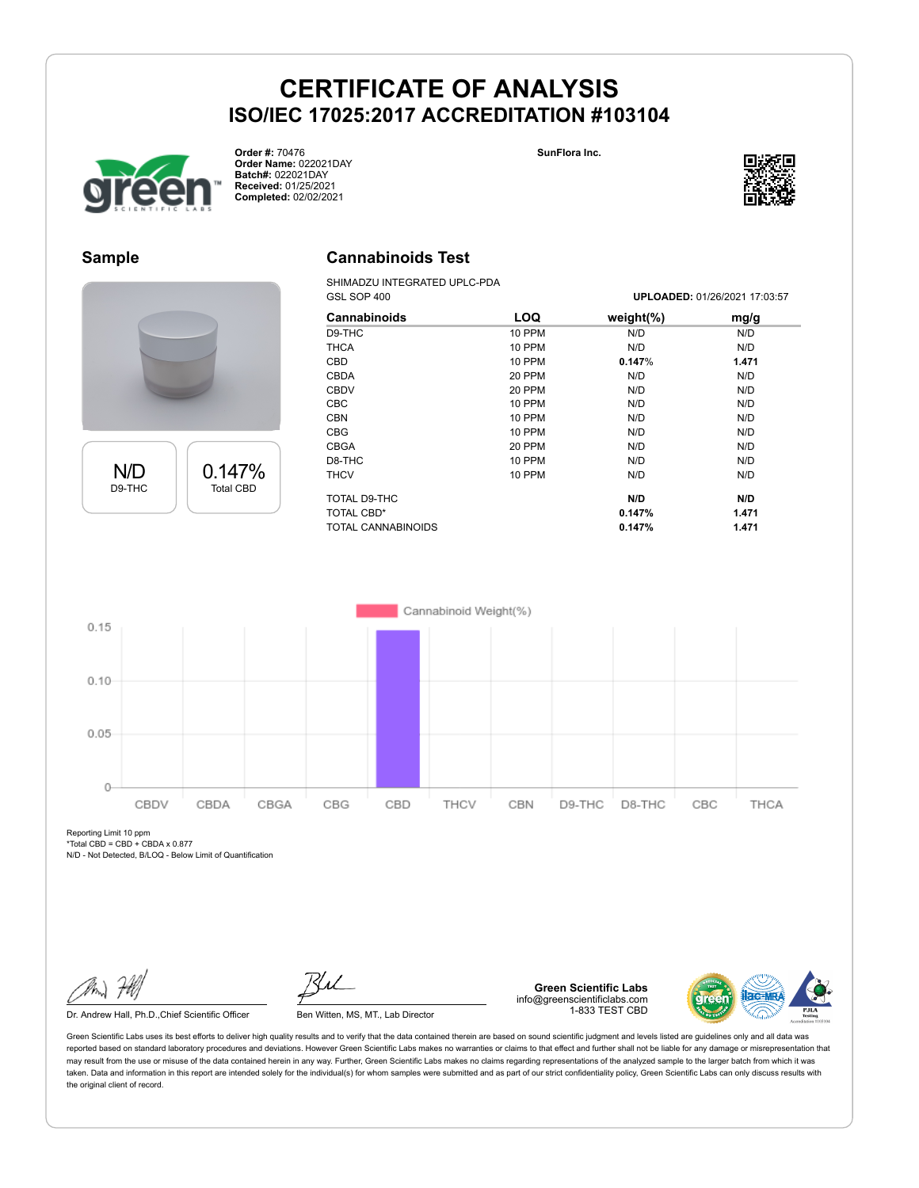**Cannabinoids Test** SHIMADZU INTEGRATED UPLC-PDA





**Order #:** 70476 **Order Name:** 022021DAY **Batch#:** 022021DAY **Received:** 01/25/2021 **Completed:** 02/02/2021



#### **Sample**



| N/D    | 0.147%           |
|--------|------------------|
| D9-THC | <b>Total CBD</b> |
|        |                  |

| GSL SOP 400         |               |               | UPLOADED: 01/26/2021 17:03:57 |
|---------------------|---------------|---------------|-------------------------------|
| <b>Cannabinoids</b> | LOQ           | weight $(\%)$ | mg/g                          |
| D9-THC              | <b>10 PPM</b> | N/D           | N/D                           |
| <b>THCA</b>         | 10 PPM        | N/D           | N/D                           |
| CBD.                | <b>10 PPM</b> | 0.147%        | 1.471                         |
| <b>CBDA</b>         | 20 PPM        | N/D           | N/D                           |
| <b>CBDV</b>         | 20 PPM        | N/D           | N/D                           |
| <b>CBC</b>          | 10 PPM        | N/D           | N/D                           |
| <b>CBN</b>          | <b>10 PPM</b> | N/D           | N/D                           |
| <b>CBG</b>          | <b>10 PPM</b> | N/D           | N/D                           |
| <b>CBGA</b>         | 20 PPM        | N/D           | N/D                           |
| D8-THC              | 10 PPM        | N/D           | N/D                           |
| THCV                | 10 PPM        | N/D           | N/D                           |
| TOTAL D9-THC        |               | N/D           | N/D                           |
| <b>TOTAL CBD*</b>   |               | 0.147%        | 1.471                         |
| TOTAL CANNABINOIDS  |               | 0.147%        | 1.471                         |



Reporting Limit 10 ppm  $*Total$  CBD = CBD + CBDA x 0.877

N/D - Not Detected, B/LOQ - Below Limit of Quantification

Dr. Andrew Hall, Ph.D., Chief Scientific Officer Ben Witten, MS, MT., Lab Director

**Green Scientific Labs** info@greenscientificlabs.com 1-833 TEST CBD

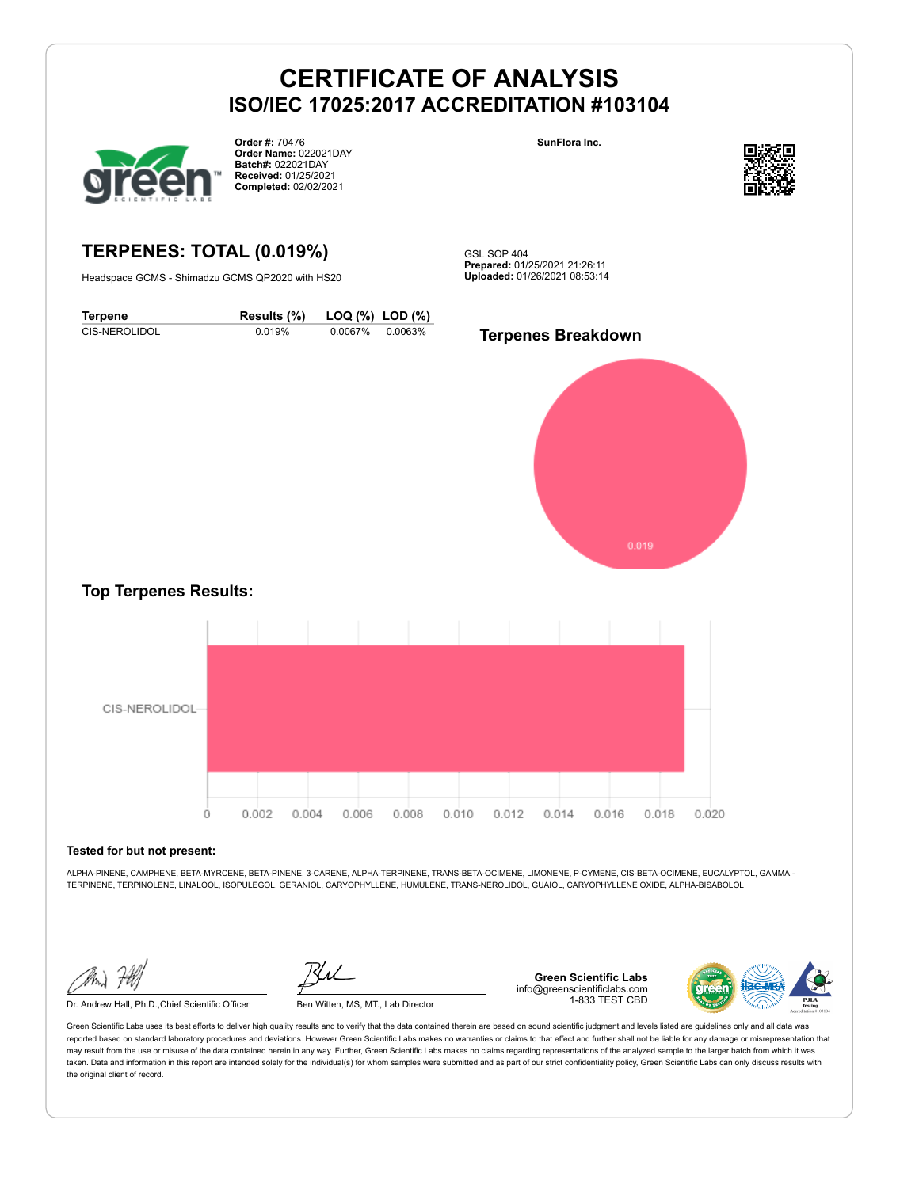

**Order #:** 70476 **Order Name:** 022021DAY **Batch#:** 022021DAY **Received:** 01/25/2021 **Completed:** 02/02/2021

**SunFlora Inc.**



**TERPENES: TOTAL (0.019%)**

Headspace GCMS - Shimadzu GCMS QP2020 with HS20

GSL SOP 404 **Prepared:** 01/25/2021 21:26:11 **Uploaded:** 01/26/2021 08:53:14

**Terpene Results (%) LOQ (%) LOD (%)** CIS-NEROLIDOL 0.019% 0.0067% 0.0063% **Terpenes Breakdown**



### **Top Terpenes Results:**



#### **Tested for but not present:**

ALPHA-PINENE, CAMPHENE, BETA-MYRCENE, BETA-PINENE, 3-CARENE, ALPHA-TERPINENE, TRANS-BETA-OCIMENE, LIMONENE, P-CYMENE, CIS-BETA-OCIMENE, EUCALYPTOL, GAMMA.- TERPINENE, TERPINOLENE, LINALOOL, ISOPULEGOL, GERANIOL, CARYOPHYLLENE, HUMULENE, TRANS-NEROLIDOL, GUAIOL, CARYOPHYLLENE OXIDE, ALPHA-BISABOLOL

Dr. Andrew Hall, Ph.D.,Chief Scientific Officer Ben Witten, MS, MT., Lab Director

**Green Scientific Labs** info@greenscientificlabs.com 1-833 TEST CBD

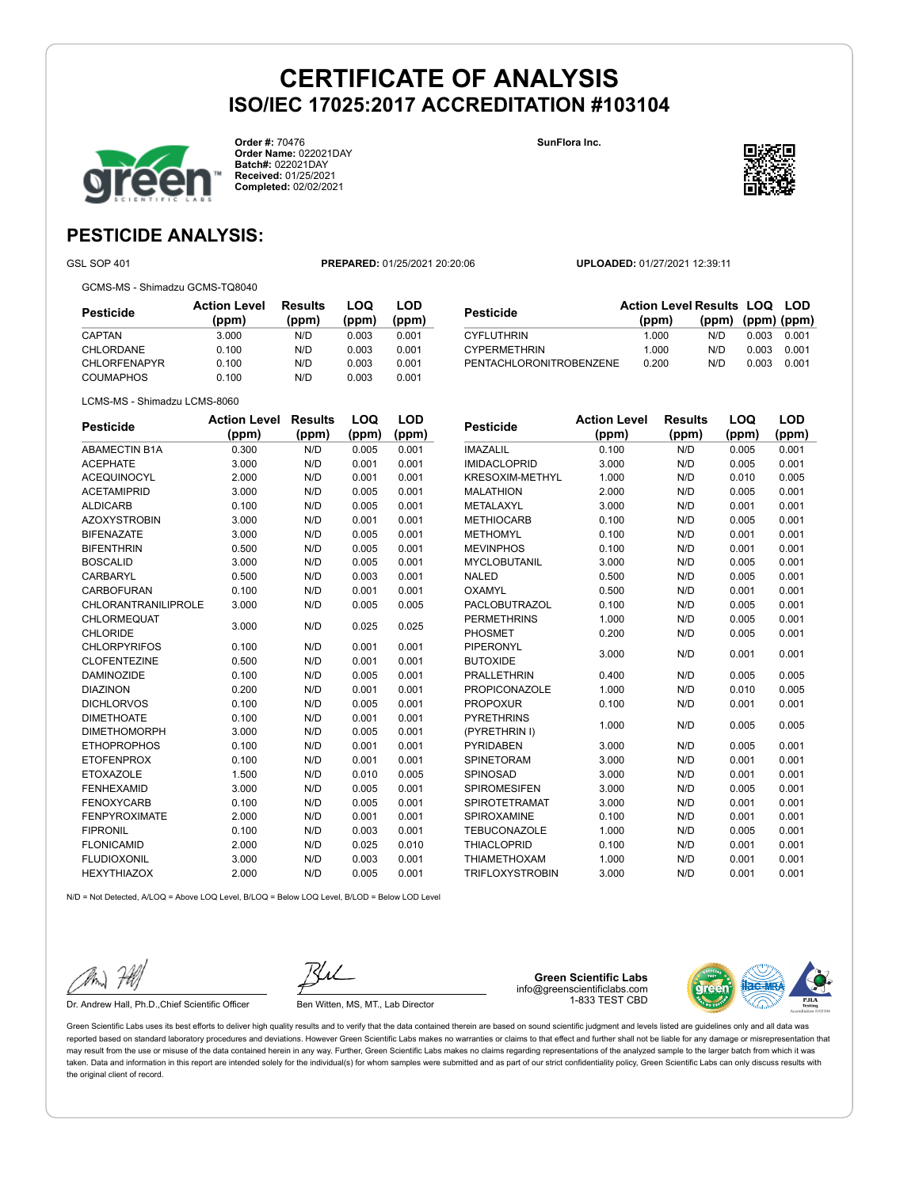**Order #:** 70476 **Order Name:** 022021DAY **Batch#:** 022021DAY **Received:** 01/25/2021 **Completed:** 02/02/2021

**SunFlora Inc.**



**LOQ**

**LOD**

### **PESTICIDE ANALYSIS:**

GSL SOP 401 **PREPARED:** 01/25/2021 20:20:06 **UPLOADED:** 01/27/2021 12:39:11

GCMS-MS - Shimadzu GCMS-TQ8040

| Pesticide           | <b>Action Level</b><br>(ppm) | <b>Results</b><br>(ppm) | LOQ<br>(ppm) | LOD<br>(ppm) |
|---------------------|------------------------------|-------------------------|--------------|--------------|
| CAPTAN              | 3.000                        | N/D                     | 0.003        | 0.001        |
| CHLORDANE           | 0.100                        | N/D                     | 0.003        | 0.001        |
| <b>CHLORFENAPYR</b> | 0.100                        | N/D                     | 0.003        | 0.001        |
| <b>COUMAPHOS</b>    | 0.100                        | N/D                     | 0.003        | 0.001        |

| Pesticide               | <b>Action Level Results LOQ LOD</b> |                   |       |       |
|-------------------------|-------------------------------------|-------------------|-------|-------|
|                         | (ppm)                               | (ppm) (ppm) (ppm) |       |       |
| <b>CYFLUTHRIN</b>       | 1.000                               | N/D               | 0.003 | 0.001 |
| <b>CYPERMETHRIN</b>     | 1.000                               | N/D               | 0.003 | 0.001 |
| PENTACHLORONITROBENZENE | 0.200                               | N/D               | 0.003 | 0.001 |

| <b>Pesticide</b>     | <b>Action Level</b> | <b>Results</b> | LOQ   | LOD   |
|----------------------|---------------------|----------------|-------|-------|
|                      | (ppm)               | (ppm)          | (ppm) | (ppm) |
| <b>ABAMECTIN B1A</b> | 0.300               | N/D            | 0.005 | 0.001 |
| <b>ACEPHATE</b>      | 3.000               | N/D            | 0.001 | 0.001 |
| <b>ACEQUINOCYL</b>   | 2.000               | N/D            | 0.001 | 0.001 |
| <b>ACETAMIPRID</b>   | 3.000               | N/D            | 0.005 | 0.001 |
| <b>ALDICARB</b>      | 0.100               | N/D            | 0.005 | 0.001 |
| <b>AZOXYSTROBIN</b>  | 3.000               | N/D            | 0.001 | 0.001 |
| <b>BIFENAZATE</b>    | 3.000               | N/D            | 0.005 | 0.001 |
| <b>BIFENTHRIN</b>    | 0.500               | N/D            | 0.005 | 0.001 |
| <b>BOSCALID</b>      | 3.000               | N/D            | 0.005 | 0.001 |
| CARBARYL             | 0.500               | N/D            | 0.003 | 0.001 |
| <b>CARBOFURAN</b>    | 0.100               | N/D            | 0.001 | 0.001 |
| CHLORANTRANILIPROLE  | 3.000               | N/D            | 0.005 | 0.005 |
| <b>CHLORMEQUAT</b>   | 3.000               | N/D            | 0.025 | 0.025 |
| CHLORIDE             |                     |                |       |       |
| <b>CHLORPYRIFOS</b>  | 0.100               | N/D            | 0.001 | 0.001 |
| <b>CLOFENTEZINE</b>  | 0.500               | N/D            | 0.001 | 0.001 |
| <b>DAMINOZIDE</b>    | 0.100               | N/D            | 0.005 | 0.001 |
| <b>DIAZINON</b>      | 0.200               | N/D            | 0.001 | 0.001 |
| <b>DICHLORVOS</b>    | 0.100               | N/D            | 0.005 | 0.001 |
| <b>DIMETHOATE</b>    | 0.100               | N/D            | 0.001 | 0.001 |
| <b>DIMETHOMORPH</b>  | 3.000               | N/D            | 0.005 | 0.001 |
| <b>ETHOPROPHOS</b>   | 0.100               | N/D            | 0.001 | 0.001 |
| <b>ETOFENPROX</b>    | 0.100               | N/D            | 0.001 | 0.001 |
| <b>ETOXAZOLE</b>     | 1.500               | N/D            | 0.010 | 0.005 |
| <b>FENHEXAMID</b>    | 3.000               | N/D            | 0.005 | 0.001 |
| <b>FENOXYCARB</b>    | 0.100               | N/D            | 0.005 | 0.001 |
| <b>FENPYROXIMATE</b> | 2.000               | N/D            | 0.001 | 0.001 |
| <b>FIPRONIL</b>      | 0.100               | N/D            | 0.003 | 0.001 |
| <b>FLONICAMID</b>    | 2.000               | N/D            | 0.025 | 0.010 |
| <b>FLUDIOXONIL</b>   | 3.000               | N/D            | 0.003 | 0.001 |
| <b>HEXYTHIAZOX</b>   | 2.000               | N/D            | 0.005 | 0.001 |

| Pesticide            | <b>Action Level</b> | <b>Results</b> | LOQ   | <b>LOD</b> |
|----------------------|---------------------|----------------|-------|------------|
|                      | (ppm)               | (ppm)          | (ppm) | (ppm)      |
| <b>IMAZALIL</b>      | 0.100               | N/D            | 0.005 | 0.001      |
| <b>IMIDACLOPRID</b>  | 3.000               | N/D            | 0.005 | 0.001      |
| KRESOXIM-METHYL      | 1.000               | N/D            | 0.010 | 0.005      |
| <b>MALATHION</b>     | 2.000               | N/D            | 0.005 | 0.001      |
| METALAXYL            | 3.000               | N/D            | 0.001 | 0.001      |
| <b>METHIOCARB</b>    | 0.100               | N/D            | 0.005 | 0.001      |
| <b>METHOMYL</b>      | 0.100               | N/D            | 0.001 | 0.001      |
| <b>MEVINPHOS</b>     | 0.100               | N/D            | 0.001 | 0.001      |
| MYCLOBUTANIL         | 3.000               | N/D            | 0.005 | 0.001      |
| <b>NALED</b>         | 0.500               | N/D            | 0.005 | 0.001      |
| OXAMYL               | 0.500               | N/D            | 0.001 | 0.001      |
| <b>PACLOBUTRAZOL</b> | 0.100               | N/D            | 0.005 | 0.001      |
| <b>PERMETHRINS</b>   | 1.000               | N/D            | 0.005 | 0.001      |
| <b>PHOSMET</b>       | 0.200               | N/D            | 0.005 | 0.001      |
| <b>PIPERONYL</b>     | 3.000               | N/D            | 0.001 | 0.001      |
| <b>BUTOXIDE</b>      |                     |                |       |            |
| <b>PRALLETHRIN</b>   | 0.400               | N/D            | 0.005 | 0.005      |
| <b>PROPICONAZOLE</b> | 1.000               | N/D            | 0.010 | 0.005      |
| <b>PROPOXUR</b>      | 0.100               | N/D            | 0.001 | 0.001      |
| <b>PYRETHRINS</b>    | 1.000               | N/D            | 0.005 | 0.005      |
| (PYRETHRIN I)        |                     |                |       |            |
| <b>PYRIDABEN</b>     | 3.000               | N/D            | 0.005 | 0.001      |
| SPINETORAM           | 3.000               | N/D            | 0.001 | 0.001      |
| SPINOSAD             | 3.000               | N/D            | 0.001 | 0.001      |
| <b>SPIROMESIFEN</b>  | 3.000               | N/D            | 0.005 | 0.001      |
| SPIROTETRAMAT        | 3.000               | N/D            | 0.001 | 0.001      |
| <b>SPIROXAMINE</b>   | 0.100               | N/D            | 0.001 | 0.001      |

TEBUCONAZOLE 1.000 N/D 0.005 0.001 THIACLOPRID 0.100 N/D 0.001 0.001 THIAMETHOXAM 1.000 N/D 0.001 0.001 TRIFLOXYSTROBIN 3.000 N/D 0.001 0.001

 $N/D = N$ ot Detected, A/LOQ = Above LOQ Level, B/LOQ = Below LOQ Level, B/LOD = Below LOD Level

Dr. Andrew Hall, Ph.D., Chief Scientific Officer Ben Witten, MS, MT., Lab Director

**Green Scientific Labs** info@greenscientificlabs.com 1-833 TEST CBD

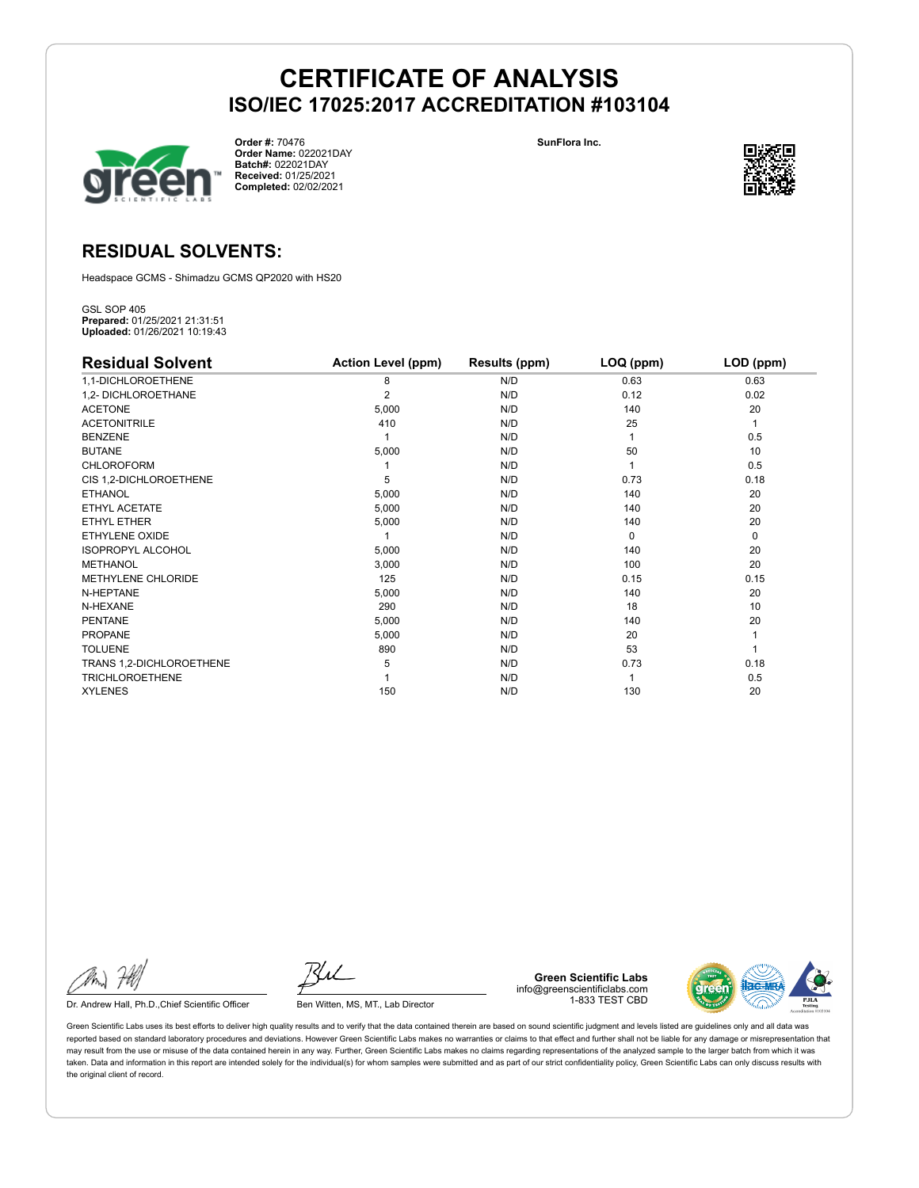

**Order #:** 70476 **Order Name:** 022021DAY **Batch#:** 022021DAY **Received:** 01/25/2021 **Completed:** 02/02/2021

**SunFlora Inc.**



### **RESIDUAL SOLVENTS:**

Headspace GCMS - Shimadzu GCMS QP2020 with HS20

GSL SOP 405 **Prepared:** 01/25/2021 21:31:51 **Uploaded:** 01/26/2021 10:19:43

| <b>Residual Solvent</b>   | <b>Action Level (ppm)</b> | Results (ppm) | LOQ (ppm) | LOD (ppm) |
|---------------------------|---------------------------|---------------|-----------|-----------|
| 1,1-DICHLOROETHENE        | 8                         | N/D           | 0.63      | 0.63      |
| 1,2- DICHLOROETHANE       | $\overline{2}$            | N/D           | 0.12      | 0.02      |
| <b>ACETONE</b>            | 5,000                     | N/D           | 140       | 20        |
| <b>ACETONITRILE</b>       | 410                       | N/D           | 25        | 1         |
| <b>BENZENE</b>            |                           | N/D           |           | 0.5       |
| <b>BUTANE</b>             | 5,000                     | N/D           | 50        | 10        |
| CHLOROFORM                |                           | N/D           |           | 0.5       |
| CIS 1,2-DICHLOROETHENE    | 5                         | N/D           | 0.73      | 0.18      |
| <b>ETHANOL</b>            | 5,000                     | N/D           | 140       | 20        |
| ETHYL ACETATE             | 5,000                     | N/D           | 140       | 20        |
| ETHYL ETHER               | 5,000                     | N/D           | 140       | 20        |
| ETHYLENE OXIDE            |                           | N/D           | $\Omega$  | 0         |
| <b>ISOPROPYL ALCOHOL</b>  | 5,000                     | N/D           | 140       | 20        |
| <b>METHANOL</b>           | 3,000                     | N/D           | 100       | 20        |
| <b>METHYLENE CHLORIDE</b> | 125                       | N/D           | 0.15      | 0.15      |
| N-HEPTANE                 | 5,000                     | N/D           | 140       | 20        |
| N-HEXANE                  | 290                       | N/D           | 18        | 10        |
| <b>PENTANE</b>            | 5,000                     | N/D           | 140       | 20        |
| <b>PROPANE</b>            | 5,000                     | N/D           | 20        |           |
| <b>TOLUENE</b>            | 890                       | N/D           | 53        |           |
| TRANS 1,2-DICHLOROETHENE  | 5                         | N/D           | 0.73      | 0.18      |
| <b>TRICHLOROETHENE</b>    |                           | N/D           |           | 0.5       |
| <b>XYLENES</b>            | 150                       | N/D           | 130       | 20        |

Dr. Andrew Hall, Ph.D., Chief Scientific Officer Ben Witten, MS, MT., Lab Director

**Green Scientific Labs** info@greenscientificlabs.com 1-833 TEST CBD

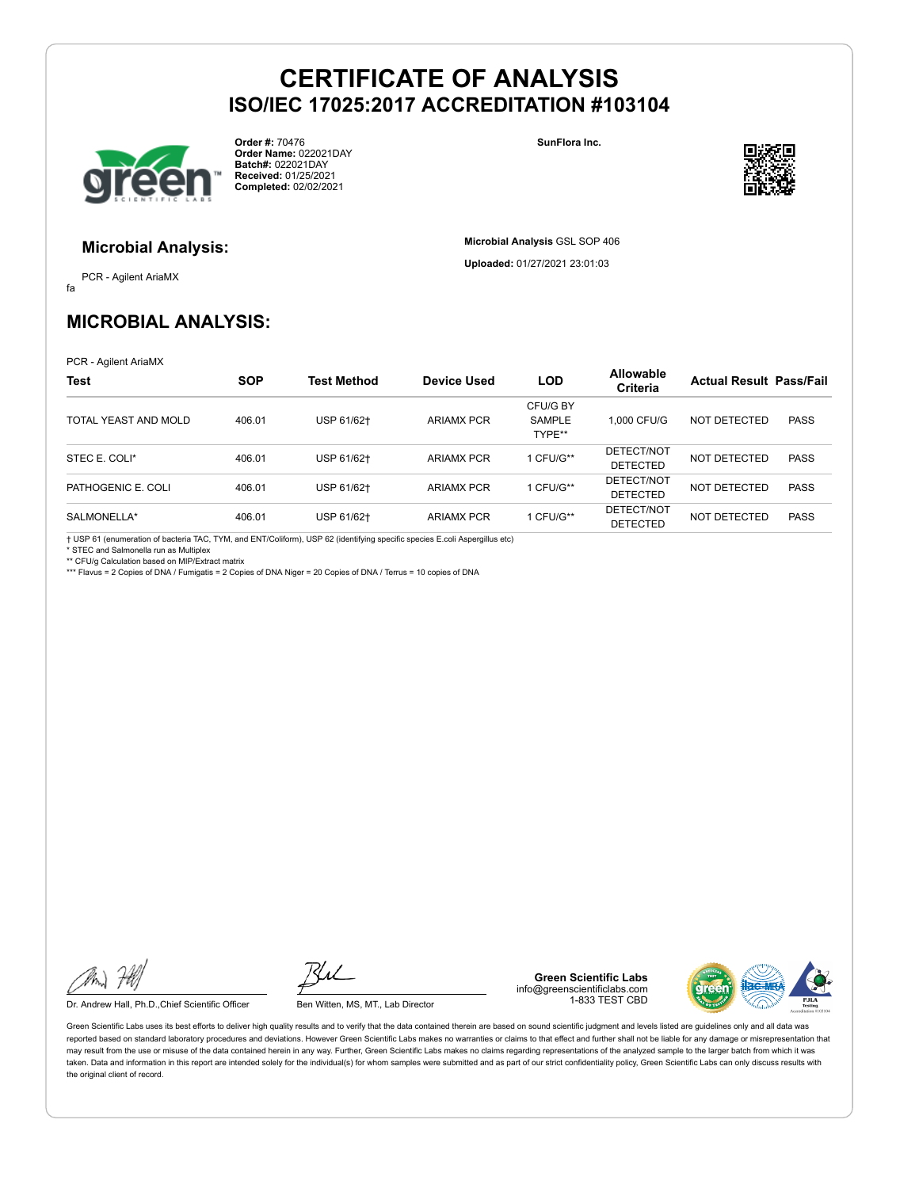

**Order #:** 70476 **Order Name:** 022021DAY **Batch#:** 022021DAY **Received:** 01/25/2021 **Completed:** 02/02/2021

**SunFlora Inc.**

**Microbial Analysis** GSL SOP 406 **Uploaded:** 01/27/2021 23:01:03



#### **Microbial Analysis:**

fa PCR - Agilent AriaMX

## **MICROBIAL ANALYSIS:**

PCR - Agilent AriaMX

| <b>Test</b>          | <b>SOP</b> | Test Method | <b>Device Used</b> | <b>LOD</b>                          | <b>Allowable</b><br><b>Criteria</b> | <b>Actual Result Pass/Fail</b> |             |
|----------------------|------------|-------------|--------------------|-------------------------------------|-------------------------------------|--------------------------------|-------------|
| TOTAL YEAST AND MOLD | 406.01     | USP 61/62+  | <b>ARIAMX PCR</b>  | CFU/G BY<br><b>SAMPLE</b><br>TYPE** | 1.000 CFU/G                         | NOT DETECTED                   | <b>PASS</b> |
| STEC E. COLI*        | 406.01     | USP 61/62+  | <b>ARIAMX PCR</b>  | CFU/G**                             | DETECT/NOT<br><b>DETECTED</b>       | NOT DETECTED                   | <b>PASS</b> |
| PATHOGENIC E. COLI   | 406.01     | USP 61/62+  | <b>ARIAMX PCR</b>  | CFU/G**                             | DETECT/NOT<br><b>DETECTED</b>       | NOT DETECTED                   | <b>PASS</b> |
| SALMONELLA*          | 406.01     | USP 61/62+  | <b>ARIAMX PCR</b>  | CFU/G**                             | DETECT/NOT<br><b>DETECTED</b>       | NOT DETECTED                   | <b>PASS</b> |

† USP 61 (enumeration of bacteria TAC, TYM, and ENT/Coliform), USP 62 (identifying specific species E.coli Aspergillus etc)

\* STEC and Salmonella run as Multiplex

\*\* CFU/g Calculation based on MIP/Extract matrix \*\*\* Flavus = 2 Copies of DNA / Fumigatis = 2 Copies of DNA Niger = 20 Copies of DNA / Terrus = 10 copies of DNA

Dr. Andrew Hall, Ph.D., Chief Scientific Officer Ben Witten, MS, MT., Lab Director

**Green Scientific Labs** info@greenscientificlabs.com 1-833 TEST CBD